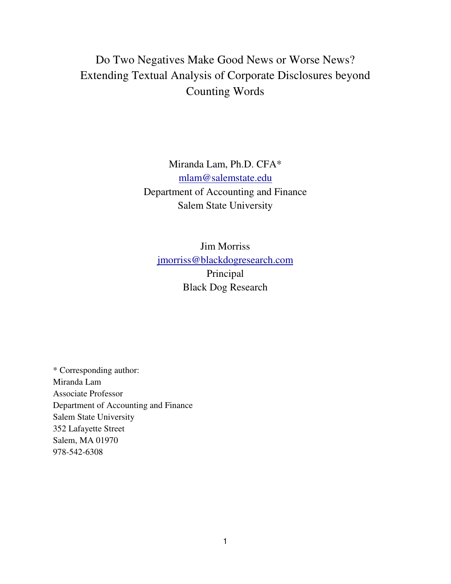# Do Two Negatives Make Good News or Worse News? Extending Textual Analysis of Corporate Disclosures beyond Counting Words

Miranda Lam, Ph.D. CFA\* mlam@salemstate.edu Department of Accounting and Finance Salem State University

Jim Morriss jmorriss@blackdogresearch.com Principal Black Dog Research

\* Corresponding author: Miranda Lam Associate Professor Department of Accounting and Finance Salem State University 352 Lafayette Street Salem, MA 01970 978-542-6308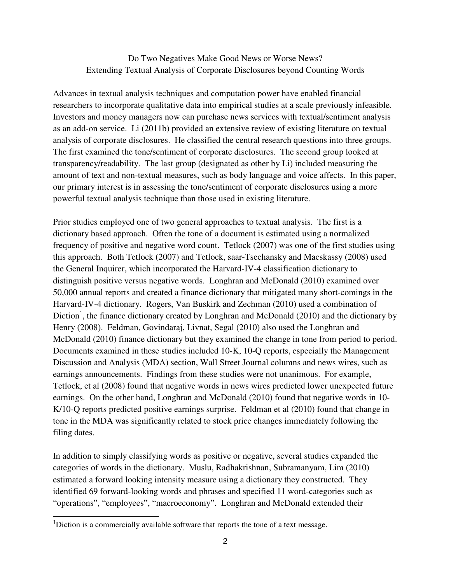### Do Two Negatives Make Good News or Worse News? Extending Textual Analysis of Corporate Disclosures beyond Counting Words

Advances in textual analysis techniques and computation power have enabled financial researchers to incorporate qualitative data into empirical studies at a scale previously infeasible. Investors and money managers now can purchase news services with textual/sentiment analysis as an add-on service. Li (2011b) provided an extensive review of existing literature on textual analysis of corporate disclosures. He classified the central research questions into three groups. The first examined the tone/sentiment of corporate disclosures. The second group looked at transparency/readability. The last group (designated as other by Li) included measuring the amount of text and non-textual measures, such as body language and voice affects. In this paper, our primary interest is in assessing the tone/sentiment of corporate disclosures using a more powerful textual analysis technique than those used in existing literature.

Prior studies employed one of two general approaches to textual analysis. The first is a dictionary based approach. Often the tone of a document is estimated using a normalized frequency of positive and negative word count. Tetlock (2007) was one of the first studies using this approach. Both Tetlock (2007) and Tetlock, saar-Tsechansky and Macskassy (2008) used the General Inquirer, which incorporated the Harvard-IV-4 classification dictionary to distinguish positive versus negative words. Longhran and McDonald (2010) examined over 50,000 annual reports and created a finance dictionary that mitigated many short-comings in the Harvard-IV-4 dictionary. Rogers, Van Buskirk and Zechman (2010) used a combination of Diction<sup>1</sup>, the finance dictionary created by Longhran and McDonald (2010) and the dictionary by Henry (2008). Feldman, Govindaraj, Livnat, Segal (2010) also used the Longhran and McDonald (2010) finance dictionary but they examined the change in tone from period to period. Documents examined in these studies included 10-K, 10-Q reports, especially the Management Discussion and Analysis (MDA) section, Wall Street Journal columns and news wires, such as earnings announcements. Findings from these studies were not unanimous. For example, Tetlock, et al (2008) found that negative words in news wires predicted lower unexpected future earnings. On the other hand, Longhran and McDonald (2010) found that negative words in 10- K/10-Q reports predicted positive earnings surprise. Feldman et al (2010) found that change in tone in the MDA was significantly related to stock price changes immediately following the filing dates.

In addition to simply classifying words as positive or negative, several studies expanded the categories of words in the dictionary. Muslu, Radhakrishnan, Subramanyam, Lim (2010) estimated a forward looking intensity measure using a dictionary they constructed. They identified 69 forward-looking words and phrases and specified 11 word-categories such as "operations", "employees", "macroeconomy". Longhran and McDonald extended their

 $\overline{1}$ 

<sup>&</sup>lt;sup>1</sup>Diction is a commercially available software that reports the tone of a text message.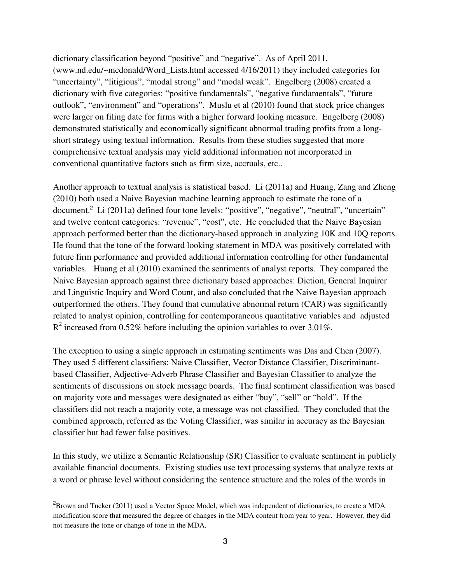dictionary classification beyond "positive" and "negative". As of April 2011, (www.nd.edu/~mcdonald/Word\_Lists.html accessed 4/16/2011) they included categories for "uncertainty", "litigious", "modal strong" and "modal weak". Engelberg (2008) created a dictionary with five categories: "positive fundamentals", "negative fundamentals", "future outlook", "environment" and "operations". Muslu et al (2010) found that stock price changes were larger on filing date for firms with a higher forward looking measure. Engelberg (2008) demonstrated statistically and economically significant abnormal trading profits from a longshort strategy using textual information. Results from these studies suggested that more comprehensive textual analysis may yield additional information not incorporated in conventional quantitative factors such as firm size, accruals, etc..

Another approach to textual analysis is statistical based. Li (2011a) and Huang, Zang and Zheng (2010) both used a Naive Bayesian machine learning approach to estimate the tone of a document.<sup>2</sup> Li (2011a) defined four tone levels: "positive", "negative", "neutral", "uncertain" and twelve content categories: "revenue", "cost", etc. He concluded that the Naive Bayesian approach performed better than the dictionary-based approach in analyzing 10K and 10Q reports. He found that the tone of the forward looking statement in MDA was positively correlated with future firm performance and provided additional information controlling for other fundamental variables. Huang et al (2010) examined the sentiments of analyst reports. They compared the Naive Bayesian approach against three dictionary based approaches: Diction, General Inquirer and Linguistic Inquiry and Word Count, and also concluded that the Naive Bayesian approach outperformed the others. They found that cumulative abnormal return (CAR) was significantly related to analyst opinion, controlling for contemporaneous quantitative variables and adjusted  $R^2$  increased from 0.52% before including the opinion variables to over 3.01%.

The exception to using a single approach in estimating sentiments was Das and Chen (2007). They used 5 different classifiers: Naive Classifier, Vector Distance Classifier, Discriminantbased Classifier, Adjective-Adverb Phrase Classifier and Bayesian Classifier to analyze the sentiments of discussions on stock message boards. The final sentiment classification was based on majority vote and messages were designated as either "buy", "sell" or "hold". If the classifiers did not reach a majority vote, a message was not classified. They concluded that the combined approach, referred as the Voting Classifier, was similar in accuracy as the Bayesian classifier but had fewer false positives.

In this study, we utilize a Semantic Relationship (SR) Classifier to evaluate sentiment in publicly available financial documents. Existing studies use text processing systems that analyze texts at a word or phrase level without considering the sentence structure and the roles of the words in

-

<sup>&</sup>lt;sup>2</sup>Brown and Tucker (2011) used a Vector Space Model, which was independent of dictionaries, to create a MDA modification score that measured the degree of changes in the MDA content from year to year. However, they did not measure the tone or change of tone in the MDA.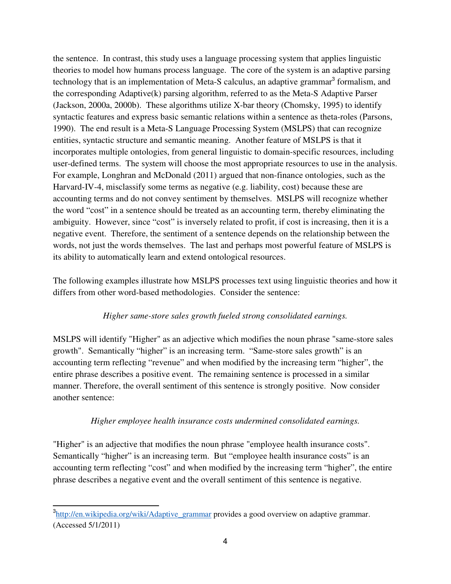the sentence. In contrast, this study uses a language processing system that applies linguistic theories to model how humans process language. The core of the system is an adaptive parsing technology that is an implementation of Meta-S calculus, an adaptive grammar<sup>3</sup> formalism, and the corresponding Adaptive(k) parsing algorithm, referred to as the Meta-S Adaptive Parser (Jackson, 2000a, 2000b). These algorithms utilize X-bar theory (Chomsky, 1995) to identify syntactic features and express basic semantic relations within a sentence as theta-roles (Parsons, 1990). The end result is a Meta-S Language Processing System (MSLPS) that can recognize entities, syntactic structure and semantic meaning. Another feature of MSLPS is that it incorporates multiple ontologies, from general linguistic to domain-specific resources, including user-defined terms. The system will choose the most appropriate resources to use in the analysis. For example, Longhran and McDonald (2011) argued that non-finance ontologies, such as the Harvard-IV-4, misclassify some terms as negative (e.g. liability, cost) because these are accounting terms and do not convey sentiment by themselves. MSLPS will recognize whether the word "cost" in a sentence should be treated as an accounting term, thereby eliminating the ambiguity. However, since "cost" is inversely related to profit, if cost is increasing, then it is a negative event. Therefore, the sentiment of a sentence depends on the relationship between the words, not just the words themselves. The last and perhaps most powerful feature of MSLPS is its ability to automatically learn and extend ontological resources.

The following examples illustrate how MSLPS processes text using linguistic theories and how it differs from other word-based methodologies. Consider the sentence:

#### *Higher same-store sales growth fueled strong consolidated earnings.*

MSLPS will identify "Higher" as an adjective which modifies the noun phrase "same-store sales growth". Semantically "higher" is an increasing term. "Same-store sales growth" is an accounting term reflecting "revenue" and when modified by the increasing term "higher", the entire phrase describes a positive event. The remaining sentence is processed in a similar manner. Therefore, the overall sentiment of this sentence is strongly positive. Now consider another sentence:

## *Higher employee health insurance costs undermined consolidated earnings.*

"Higher" is an adjective that modifies the noun phrase "employee health insurance costs". Semantically "higher" is an increasing term. But "employee health insurance costs" is an accounting term reflecting "cost" and when modified by the increasing term "higher", the entire phrase describes a negative event and the overall sentiment of this sentence is negative.

j <sup>3</sup>http://en.wikipedia.org/wiki/Adaptive\_grammar provides a good overview on adaptive grammar. (Accessed 5/1/2011)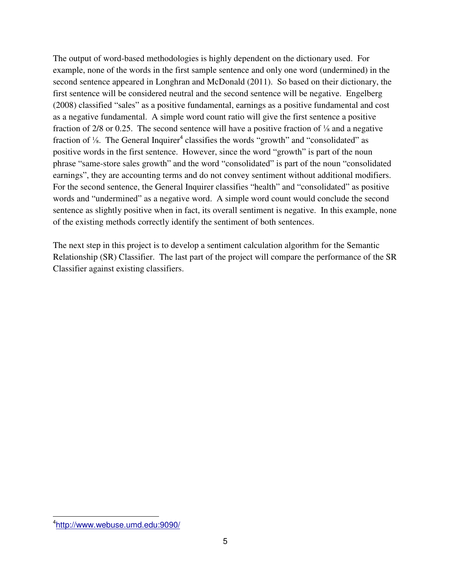The output of word-based methodologies is highly dependent on the dictionary used. For example, none of the words in the first sample sentence and only one word (undermined) in the second sentence appeared in Longhran and McDonald (2011). So based on their dictionary, the first sentence will be considered neutral and the second sentence will be negative. Engelberg (2008) classified "sales" as a positive fundamental, earnings as a positive fundamental and cost as a negative fundamental. A simple word count ratio will give the first sentence a positive fraction of 2/8 or 0.25. The second sentence will have a positive fraction of ⅛ and a negative fraction of  $\frac{1}{8}$ . The General Inquirer<sup>4</sup> classifies the words "growth" and "consolidated" as positive words in the first sentence. However, since the word "growth" is part of the noun phrase "same-store sales growth" and the word "consolidated" is part of the noun "consolidated earnings", they are accounting terms and do not convey sentiment without additional modifiers. For the second sentence, the General Inquirer classifies "health" and "consolidated" as positive words and "undermined" as a negative word. A simple word count would conclude the second sentence as slightly positive when in fact, its overall sentiment is negative. In this example, none of the existing methods correctly identify the sentiment of both sentences.

The next step in this project is to develop a sentiment calculation algorithm for the Semantic Relationship (SR) Classifier. The last part of the project will compare the performance of the SR Classifier against existing classifiers.

-

<sup>4</sup> http://www.webuse.umd.edu:9090/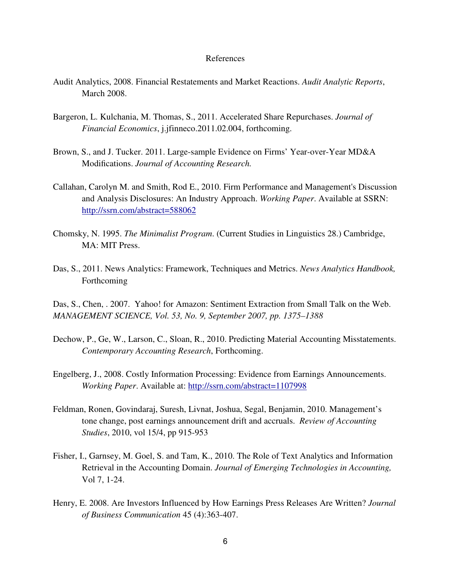#### References

- Audit Analytics, 2008. Financial Restatements and Market Reactions. *Audit Analytic Reports*, March 2008.
- Bargeron, L. Kulchania, M. Thomas, S., 2011. Accelerated Share Repurchases. *Journal of Financial Economics*, j.jfinneco.2011.02.004, forthcoming.
- Brown, S., and J. Tucker. 2011. Large-sample Evidence on Firms' Year-over-Year MD&A Modifications. *Journal of Accounting Research.*
- Callahan, Carolyn M. and Smith, Rod E., 2010. Firm Performance and Management's Discussion and Analysis Disclosures: An Industry Approach. *Working Paper*. Available at SSRN: http://ssrn.com/abstract=588062
- Chomsky, N. 1995. *The Minimalist Program*. (Current Studies in Linguistics 28.) Cambridge, MA: MIT Press.
- Das, S., 2011. News Analytics: Framework, Techniques and Metrics. *News Analytics Handbook,*  Forthcoming

Das, S., Chen, . 2007. Yahoo! for Amazon: Sentiment Extraction from Small Talk on the Web. *MANAGEMENT SCIENCE, Vol. 53, No. 9, September 2007, pp. 1375–1388* 

- Dechow, P., Ge, W., Larson, C., Sloan, R., 2010. Predicting Material Accounting Misstatements. *Contemporary Accounting Research*, Forthcoming.
- Engelberg, J., 2008. Costly Information Processing: Evidence from Earnings Announcements. *Working Paper*. Available at: http://ssrn.com/abstract=1107998
- Feldman, Ronen, Govindaraj, Suresh, Livnat, Joshua, Segal, Benjamin, 2010. Management's tone change, post earnings announcement drift and accruals. *Review of Accounting Studies*, 2010, vol 15/4, pp 915-953
- Fisher, I., Garnsey, M. Goel, S. and Tam, K., 2010. The Role of Text Analytics and Information Retrieval in the Accounting Domain. *Journal of Emerging Technologies in Accounting,* Vol 7, 1-24.
- Henry, E. 2008. Are Investors Influenced by How Earnings Press Releases Are Written? *Journal of Business Communication* 45 (4):363-407.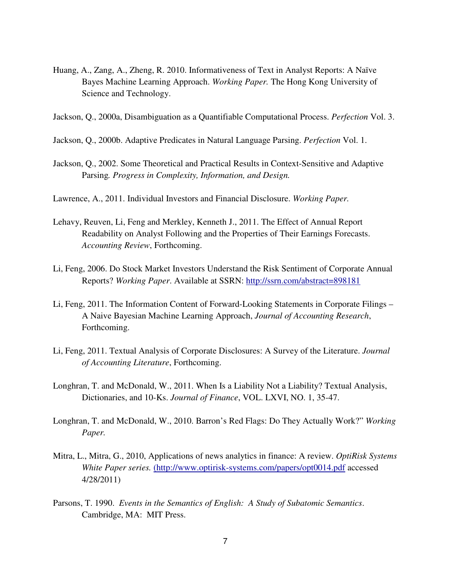- Huang, A., Zang, A., Zheng, R. 2010. Informativeness of Text in Analyst Reports: A Naïve Bayes Machine Learning Approach. *Working Paper.* The Hong Kong University of Science and Technology.
- Jackson, Q., 2000a, Disambiguation as a Quantifiable Computational Process. *Perfection* Vol. 3.
- Jackson, Q., 2000b. Adaptive Predicates in Natural Language Parsing. *Perfection* Vol. 1.
- Jackson, Q., 2002. Some Theoretical and Practical Results in Context-Sensitive and Adaptive Parsing*. Progress in Complexity, Information, and Design.*
- Lawrence, A., 2011. Individual Investors and Financial Disclosure. *Working Paper.*
- Lehavy, Reuven, Li, Feng and Merkley, Kenneth J., 2011. The Effect of Annual Report Readability on Analyst Following and the Properties of Their Earnings Forecasts. *Accounting Review*, Forthcoming.
- Li, Feng, 2006. Do Stock Market Investors Understand the Risk Sentiment of Corporate Annual Reports? *Working Paper*. Available at SSRN: http://ssrn.com/abstract=898181
- Li, Feng, 2011. The Information Content of Forward-Looking Statements in Corporate Filings A Naive Bayesian Machine Learning Approach, *Journal of Accounting Research*, Forthcoming.
- Li, Feng, 2011. Textual Analysis of Corporate Disclosures: A Survey of the Literature. *Journal of Accounting Literature*, Forthcoming.
- Longhran, T. and McDonald, W., 2011. When Is a Liability Not a Liability? Textual Analysis, Dictionaries, and 10-Ks. *Journal of Finance*, VOL. LXVI, NO. 1, 35-47.
- Longhran, T. and McDonald, W., 2010. Barron's Red Flags: Do They Actually Work?" *Working Paper.*
- Mitra, L., Mitra, G., 2010, Applications of news analytics in finance: A review. *OptiRisk Systems White Paper series.* (http://www.optirisk-systems.com/papers/opt0014.pdf accessed 4/28/2011)
- Parsons, T. 1990. *Events in the Semantics of English: A Study of Subatomic Semantics*. Cambridge, MA: MIT Press.